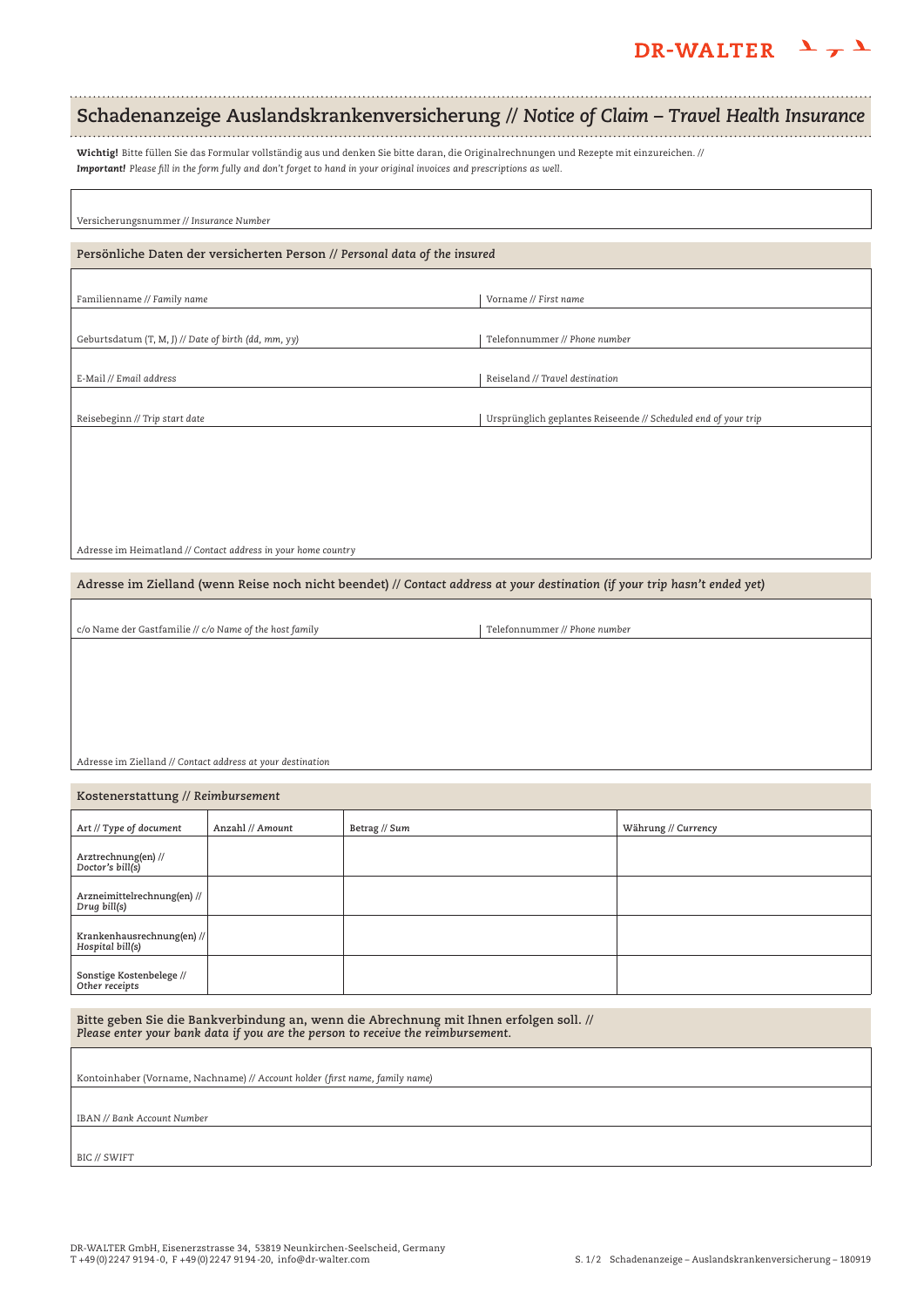## DR-WALTER  $\frac{1}{\tau}$

# **Schadenanzeige Auslandskrankenversicherung //** *Notice of Claim – Travel Health Insurance*

Wichtig! Bitte füllen Sie das Formular vollständig aus und denken Sie bitte daran, die Originalrechnungen und Rezepte mit einzureichen. // *Important! Please fill in the form fully and don't forget to hand in your original invoices and prescriptions as well.*

| Versicherungsnummer // Insurance Number |  |
|-----------------------------------------|--|

#### **Persönliche Daten der versicherten Person //** *Personal data of the insured*

Familienname // *Family name* variable variable variable variable variable variable variable variable variable v

Geburtsdatum (T, M, J) // *Date of birth (dd, mm, yy)*

E-Mail // *Email address*

Reisebeginn // *Trip start date*

Adresse im Heimatland // *Contact address in your home country*

**Adresse im Zielland (wenn Reise noch nicht beendet) //** *Contact address at your destination (if your trip hasn't ended yet)*

c/o Name der Gastfamilie // *c/o Name of the host family*

Telefonnummer // *Phone number*

Reiseland // *Travel destination*

Ursprünglich geplantes Reiseende // *Scheduled end of your trip*

Telefonnummer // *Phone number*

#### Adresse im Zielland // *Contact address at your destination*

**Kostenerstattung //** *Reimbursement* **Anzahl //** *Amount* **Arztrechnung(en) //**  *Doctor's bill(s)* **Arzneimittelrechnung(en) //** *Drug bill(s)* **Krankenhausrechnung(en) //** *Hospital bill(s)* **Sonstige Kostenbelege //**  *Other receipts* **Art //** *Type of document* **Betrag //** *Sum* **Währung //** *Currency*

**Bitte geben Sie die Bankverbindung an, wenn die Abrechnung mit Ihnen erfolgen soll. //**  *Please enter your bank data if you are the person to receive the reimbursement.*

Kontoinhaber (Vorname, Nachname) // *Account holder (first name, family name)*

IBAN /*/ Bank Account Number* 

BIC // *SWIFT*